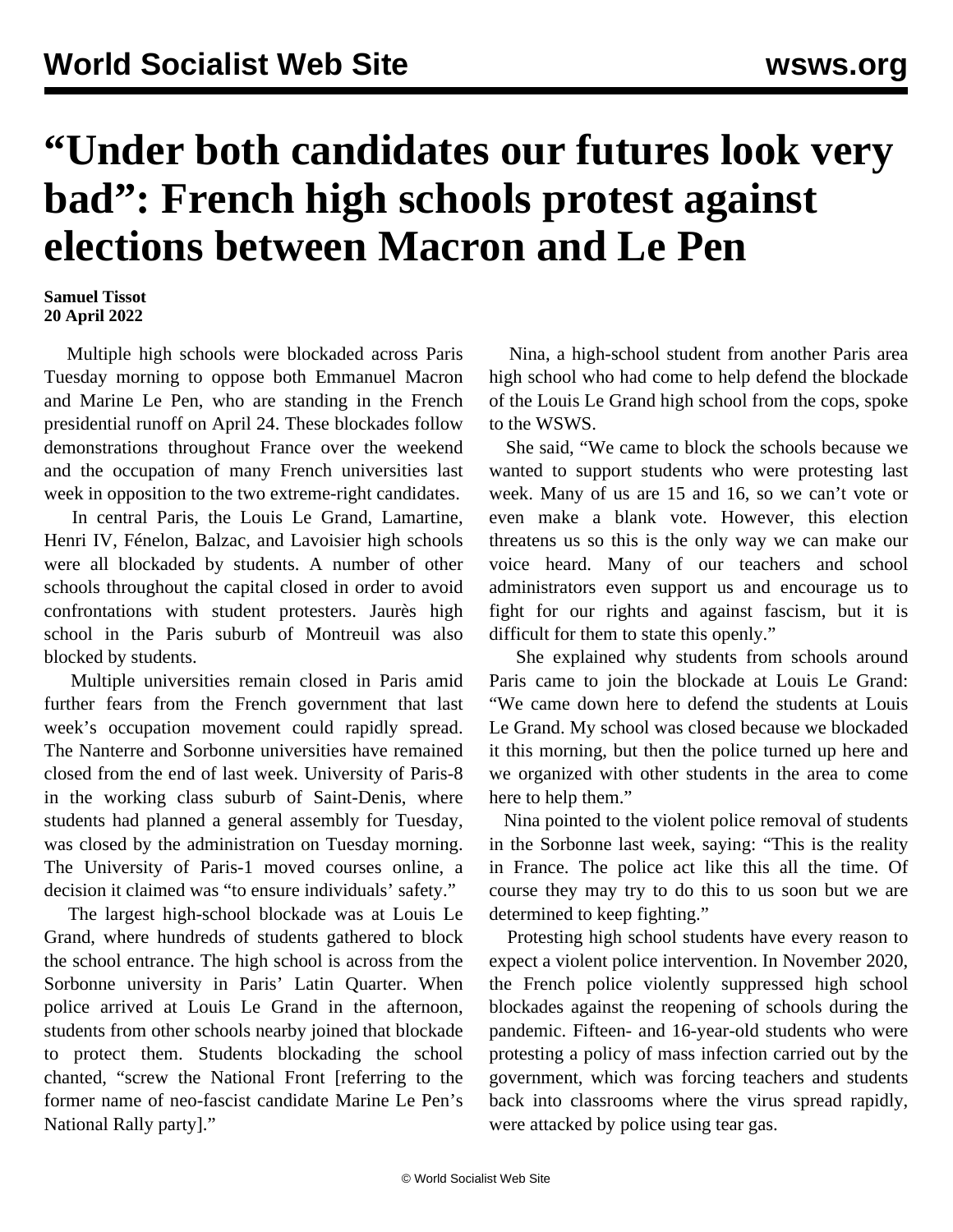## **"Under both candidates our futures look very bad": French high schools protest against elections between Macron and Le Pen**

## **Samuel Tissot 20 April 2022**

 Multiple high schools were blockaded across Paris Tuesday morning to oppose both Emmanuel Macron and Marine Le Pen, who are standing in the French presidential runoff on April 24. These blockades follow demonstrations throughout France over the weekend and the occupation of many French universities last week in opposition to the two extreme-right candidates.

 In central Paris, the Louis Le Grand, Lamartine, Henri IV, Fénelon, Balzac, and Lavoisier high schools were all blockaded by students. A number of other schools throughout the capital closed in order to avoid confrontations with student protesters. Jaurès high school in the Paris suburb of Montreuil was also blocked by students.

 Multiple universities remain closed in Paris amid further fears from the French government that last week's occupation movement could rapidly spread. The Nanterre and Sorbonne universities have remained closed from the end of last week. University of Paris-8 in the working class suburb of Saint-Denis, where students had planned a general assembly for Tuesday, was closed by the administration on Tuesday morning. The University of Paris-1 moved courses online, a decision it claimed was "to ensure individuals' safety."

 The largest high-school blockade was at Louis Le Grand, where hundreds of students gathered to block the school entrance. The high school is across from the Sorbonne university in Paris' Latin Quarter. When police arrived at Louis Le Grand in the afternoon, students from other schools nearby joined that blockade to protect them. Students blockading the school chanted, "screw the National Front [referring to the former name of neo-fascist candidate Marine Le Pen's National Rally party]."

 Nina, a high-school student from another Paris area high school who had come to help defend the blockade of the Louis Le Grand high school from the cops, spoke to the WSWS.

 She said, "We came to block the schools because we wanted to support students who were protesting last week. Many of us are 15 and 16, so we can't vote or even make a blank vote. However, this election threatens us so this is the only way we can make our voice heard. Many of our teachers and school administrators even support us and encourage us to fight for our rights and against fascism, but it is difficult for them to state this openly."

 She explained why students from schools around Paris came to join the blockade at Louis Le Grand: "We came down here to defend the students at Louis Le Grand. My school was closed because we blockaded it this morning, but then the police turned up here and we organized with other students in the area to come here to help them."

 Nina pointed to the violent police removal of students in the Sorbonne last week, saying: "This is the reality in France. The police act like this all the time. Of course they may try to do this to us soon but we are determined to keep fighting."

 Protesting high school students have every reason to expect a violent police intervention. In November 2020, the French police violently suppressed high school blockades against the reopening of schools during the pandemic. Fifteen- and 16-year-old students who were protesting a policy of mass infection carried out by the government, which was forcing teachers and students back into classrooms where the virus spread rapidly, were attacked by police using tear gas.